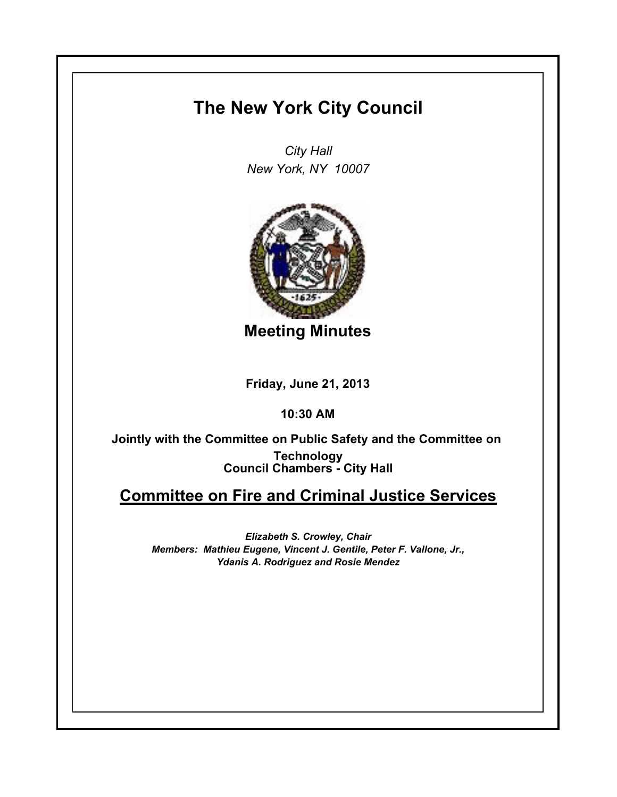## **The New York City Council**

*City Hall New York, NY 10007*



**Meeting Minutes**

**Friday, June 21, 2013**

**10:30 AM**

**Council Chambers - City Hall Jointly with the Committee on Public Safety and the Committee on Technology**

## **Committee on Fire and Criminal Justice Services**

*Elizabeth S. Crowley, Chair Members: Mathieu Eugene, Vincent J. Gentile, Peter F. Vallone, Jr., Ydanis A. Rodriguez and Rosie Mendez*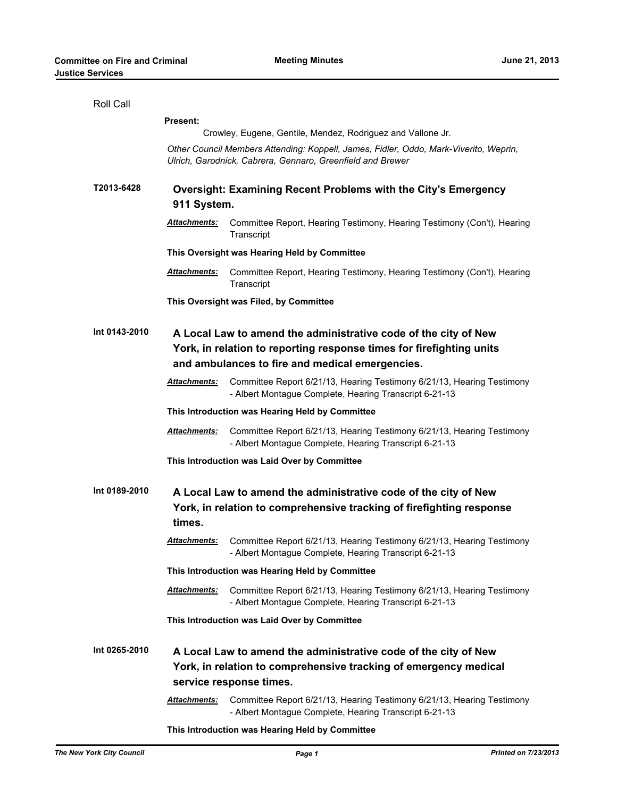| Roll Call     |                                                                                                                                                                |                                                                                                                                                                                            |  |
|---------------|----------------------------------------------------------------------------------------------------------------------------------------------------------------|--------------------------------------------------------------------------------------------------------------------------------------------------------------------------------------------|--|
|               | <b>Present:</b>                                                                                                                                                |                                                                                                                                                                                            |  |
|               |                                                                                                                                                                | Crowley, Eugene, Gentile, Mendez, Rodriguez and Vallone Jr.                                                                                                                                |  |
|               | Other Council Members Attending: Koppell, James, Fidler, Oddo, Mark-Viverito, Weprin,<br>Ulrich, Garodnick, Cabrera, Gennaro, Greenfield and Brewer            |                                                                                                                                                                                            |  |
| T2013-6428    | <b>Oversight: Examining Recent Problems with the City's Emergency</b><br>911 System.                                                                           |                                                                                                                                                                                            |  |
|               | Attachments:                                                                                                                                                   | Committee Report, Hearing Testimony, Hearing Testimony (Con't), Hearing<br>Transcript                                                                                                      |  |
|               | This Oversight was Hearing Held by Committee                                                                                                                   |                                                                                                                                                                                            |  |
|               | Attachments:                                                                                                                                                   | Committee Report, Hearing Testimony, Hearing Testimony (Con't), Hearing<br>Transcript                                                                                                      |  |
|               | This Oversight was Filed, by Committee                                                                                                                         |                                                                                                                                                                                            |  |
| Int 0143-2010 |                                                                                                                                                                | A Local Law to amend the administrative code of the city of New<br>York, in relation to reporting response times for firefighting units<br>and ambulances to fire and medical emergencies. |  |
|               | Attachments:                                                                                                                                                   | Committee Report 6/21/13, Hearing Testimony 6/21/13, Hearing Testimony<br>- Albert Montague Complete, Hearing Transcript 6-21-13                                                           |  |
|               | This Introduction was Hearing Held by Committee                                                                                                                |                                                                                                                                                                                            |  |
|               | Attachments:                                                                                                                                                   | Committee Report 6/21/13, Hearing Testimony 6/21/13, Hearing Testimony<br>- Albert Montague Complete, Hearing Transcript 6-21-13                                                           |  |
|               | This Introduction was Laid Over by Committee                                                                                                                   |                                                                                                                                                                                            |  |
| Int 0189-2010 | A Local Law to amend the administrative code of the city of New<br>York, in relation to comprehensive tracking of firefighting response<br>times.              |                                                                                                                                                                                            |  |
|               | Attachments:                                                                                                                                                   | Committee Report 6/21/13, Hearing Testimony 6/21/13, Hearing Testimony<br>- Albert Montague Complete, Hearing Transcript 6-21-13                                                           |  |
|               |                                                                                                                                                                | This Introduction was Hearing Held by Committee                                                                                                                                            |  |
|               | Attachments:                                                                                                                                                   | Committee Report 6/21/13, Hearing Testimony 6/21/13, Hearing Testimony<br>- Albert Montague Complete, Hearing Transcript 6-21-13                                                           |  |
|               | This Introduction was Laid Over by Committee                                                                                                                   |                                                                                                                                                                                            |  |
| Int 0265-2010 | A Local Law to amend the administrative code of the city of New<br>York, in relation to comprehensive tracking of emergency medical<br>service response times. |                                                                                                                                                                                            |  |
|               |                                                                                                                                                                |                                                                                                                                                                                            |  |
|               | <u> Attachments:</u>                                                                                                                                           | Committee Report 6/21/13, Hearing Testimony 6/21/13, Hearing Testimony<br>- Albert Montague Complete, Hearing Transcript 6-21-13                                                           |  |

**This Introduction was Hearing Held by Committee**